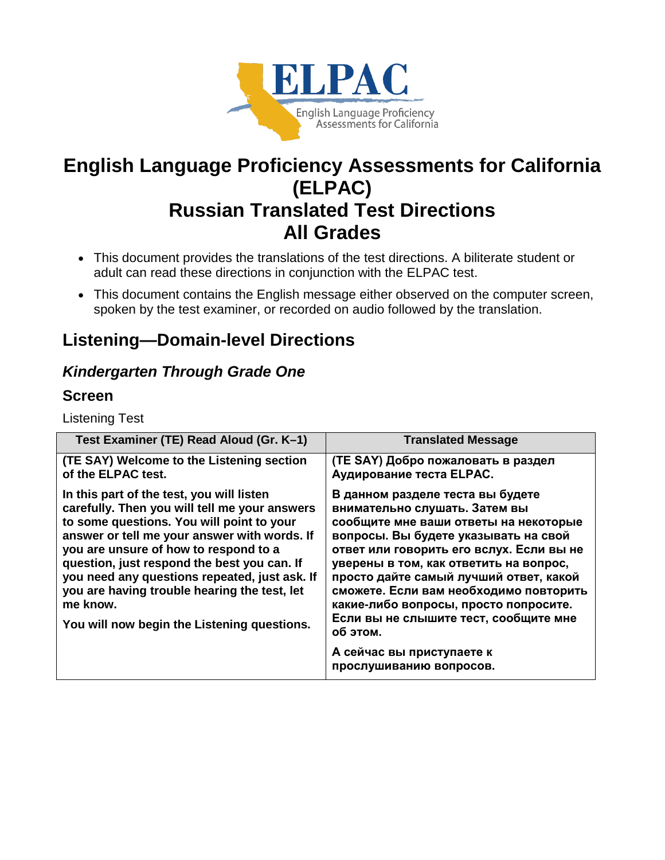

# **English Language Proficiency Assessments for California (ELPAC) Russian Translated Test Directions All Grades**

- This document provides the translations of the test directions. A biliterate student or adult can read these directions in conjunction with the ELPAC test.
- This document contains the English message either observed on the computer screen, spoken by the test examiner, or recorded on audio followed by the translation.

# **Listening—Domain-level Directions**

## *Kindergarten Through Grade One*

## **Screen**

Listening Test

| Test Examiner (TE) Read Aloud (Gr. K-1)                                                                                                                                                                                                                                                                                                                                                                                                     | <b>Translated Message</b>                                                                                                                                                                                                                                                                                                                                                                                                                                                          |
|---------------------------------------------------------------------------------------------------------------------------------------------------------------------------------------------------------------------------------------------------------------------------------------------------------------------------------------------------------------------------------------------------------------------------------------------|------------------------------------------------------------------------------------------------------------------------------------------------------------------------------------------------------------------------------------------------------------------------------------------------------------------------------------------------------------------------------------------------------------------------------------------------------------------------------------|
| (TE SAY) Welcome to the Listening section<br>of the ELPAC test.                                                                                                                                                                                                                                                                                                                                                                             | (TE SAY) Добро пожаловать в раздел<br>Аудирование теста ELPAC.                                                                                                                                                                                                                                                                                                                                                                                                                     |
| In this part of the test, you will listen<br>carefully. Then you will tell me your answers<br>to some questions. You will point to your<br>answer or tell me your answer with words. If<br>you are unsure of how to respond to a<br>question, just respond the best you can. If<br>you need any questions repeated, just ask. If<br>you are having trouble hearing the test, let<br>me know.<br>You will now begin the Listening questions. | В данном разделе теста вы будете<br>внимательно слушать. Затем вы<br>сообщите мне ваши ответы на некоторые<br>вопросы. Вы будете указывать на свой<br>ответ или говорить его вслух. Если вы не<br>уверены в том, как ответить на вопрос,<br>просто дайте самый лучший ответ, какой<br>сможете. Если вам необходимо повторить<br>какие-либо вопросы, просто попросите.<br>Если вы не слышите тест, сообщите мне<br>об этом.<br>А сейчас вы приступаете к<br>прослушиванию вопросов. |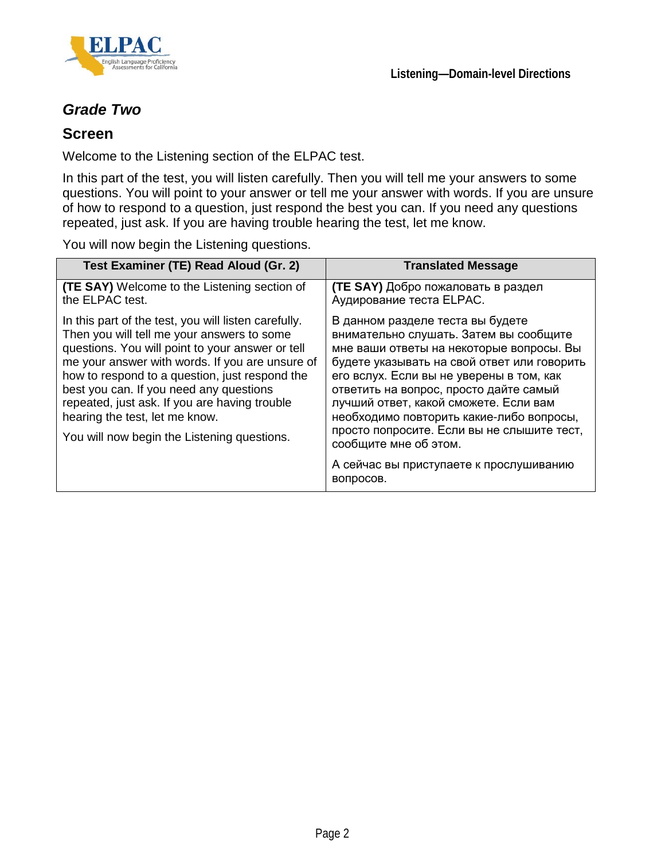

## *Grade Two*

### **Screen**

Welcome to the Listening section of the ELPAC test.

In this part of the test, you will listen carefully. Then you will tell me your answers to some questions. You will point to your answer or tell me your answer with words. If you are unsure of how to respond to a question, just respond the best you can. If you need any questions repeated, just ask. If you are having trouble hearing the test, let me know.

You will now begin the Listening questions.

| Test Examiner (TE) Read Aloud (Gr. 2)                                                                                                                                                                                                                                                                                                                                                                                                    | <b>Translated Message</b>                                                                                                                                                                                                                                                                                                                                                                                                                                          |
|------------------------------------------------------------------------------------------------------------------------------------------------------------------------------------------------------------------------------------------------------------------------------------------------------------------------------------------------------------------------------------------------------------------------------------------|--------------------------------------------------------------------------------------------------------------------------------------------------------------------------------------------------------------------------------------------------------------------------------------------------------------------------------------------------------------------------------------------------------------------------------------------------------------------|
| <b>(TE SAY)</b> Welcome to the Listening section of<br>the ELPAC test.                                                                                                                                                                                                                                                                                                                                                                   | <b>(TE SAY)</b> Добро пожаловать в раздел<br>Аудирование теста ELPAC.                                                                                                                                                                                                                                                                                                                                                                                              |
| In this part of the test, you will listen carefully.<br>Then you will tell me your answers to some<br>questions. You will point to your answer or tell<br>me your answer with words. If you are unsure of<br>how to respond to a question, just respond the<br>best you can. If you need any questions<br>repeated, just ask. If you are having trouble<br>hearing the test, let me know.<br>You will now begin the Listening questions. | В данном разделе теста вы будете<br>внимательно слушать. Затем вы сообщите<br>мне ваши ответы на некоторые вопросы. Вы<br>будете указывать на свой ответ или говорить<br>его вслух. Если вы не уверены в том, как<br>ответить на вопрос, просто дайте самый<br>лучший ответ, какой сможете. Если вам<br>необходимо повторить какие-либо вопросы,<br>просто попросите. Если вы не слышите тест,<br>сообщите мне об этом.<br>А сейчас вы приступаете к прослушиванию |
|                                                                                                                                                                                                                                                                                                                                                                                                                                          | вопросов.                                                                                                                                                                                                                                                                                                                                                                                                                                                          |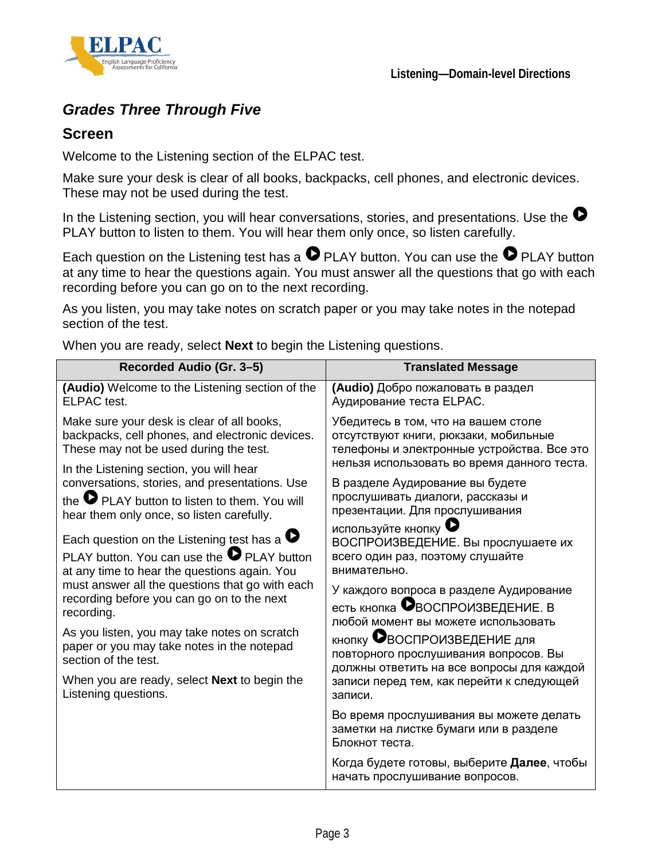

## *Grades Three Through Five*

### **Screen**

Welcome to the Listening section of the ELPAC test.

Make sure your desk is clear of all books, backpacks, cell phones, and electronic devices. These may not be used during the test.

In the Listening section, you will hear conversations, stories, and presentations. Use the  $\bullet$ PLAY button to listen to them. You will hear them only once, so listen carefully.

Each question on the Listening test has a  $\bullet$  PLAY button. You can use the  $\bullet$  PLAY button at any time to hear the questions again. You must answer all the questions that go with each recording before you can go on to the next recording.

As you listen, you may take notes on scratch paper or you may take notes in the notepad section of the test.

When you are ready, select **Next** to begin the Listening questions.

| Recorded Audio (Gr. 3-5)                                                                                                                                                                                                                                                                                                                                                                                                                                                      | <b>Translated Message</b>                                                                                                                                                                                                                                                                                                                                                                                                        |
|-------------------------------------------------------------------------------------------------------------------------------------------------------------------------------------------------------------------------------------------------------------------------------------------------------------------------------------------------------------------------------------------------------------------------------------------------------------------------------|----------------------------------------------------------------------------------------------------------------------------------------------------------------------------------------------------------------------------------------------------------------------------------------------------------------------------------------------------------------------------------------------------------------------------------|
| (Audio) Welcome to the Listening section of the<br>ELPAC test.                                                                                                                                                                                                                                                                                                                                                                                                                | (Audio) Добро пожаловать в раздел<br>Аудирование теста ELPAC.                                                                                                                                                                                                                                                                                                                                                                    |
| Make sure your desk is clear of all books,<br>backpacks, cell phones, and electronic devices.<br>These may not be used during the test.                                                                                                                                                                                                                                                                                                                                       | Убедитесь в том, что на вашем столе<br>отсутствуют книги, рюкзаки, мобильные<br>телефоны и электронные устройства. Все это                                                                                                                                                                                                                                                                                                       |
| In the Listening section, you will hear<br>conversations, stories, and presentations. Use<br>the $\bullet$ PLAY button to listen to them. You will<br>hear them only once, so listen carefully.                                                                                                                                                                                                                                                                               | нельзя использовать во время данного теста.<br>В разделе Аудирование вы будете<br>прослушивать диалоги, рассказы и<br>презентации. Для прослушивания                                                                                                                                                                                                                                                                             |
| Each question on the Listening test has a $\bullet$<br>PLAY button. You can use the $\bullet$ PLAY button<br>at any time to hear the questions again. You<br>must answer all the questions that go with each<br>recording before you can go on to the next<br>recording.<br>As you listen, you may take notes on scratch<br>paper or you may take notes in the notepad<br>section of the test.<br>When you are ready, select <b>Next</b> to begin the<br>Listening questions. | используйте кнопку $\bullet$<br>ВОСПРОИЗВЕДЕНИЕ. Вы прослушаете их<br>всего один раз, поэтому слушайте<br>внимательно.<br>У каждого вопроса в разделе Аудирование<br>есть кнопка ВВОСПРОИЗВЕДЕНИЕ. В<br>любой момент вы можете использовать<br>кнопку <b>В</b> ВОСПРОИЗВЕДЕНИЕ для<br>повторного прослушивания вопросов. Вы<br>должны ответить на все вопросы для каждой<br>записи перед тем, как перейти к следующей<br>записи. |
|                                                                                                                                                                                                                                                                                                                                                                                                                                                                               | Во время прослушивания вы можете делать<br>заметки на листке бумаги или в разделе<br>Блокнот теста.                                                                                                                                                                                                                                                                                                                              |
|                                                                                                                                                                                                                                                                                                                                                                                                                                                                               | Когда будете готовы, выберите Далее, чтобы<br>начать прослушивание вопросов.                                                                                                                                                                                                                                                                                                                                                     |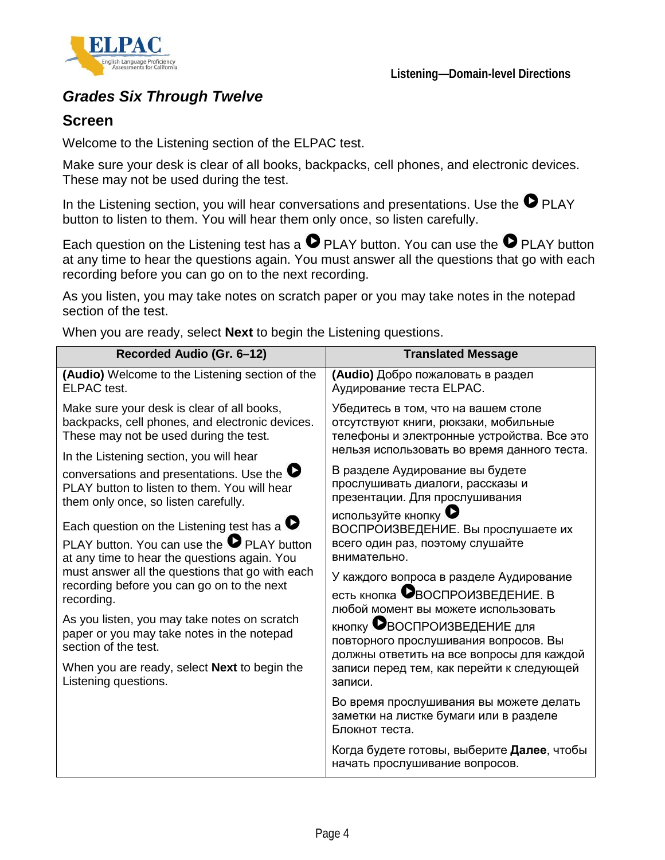

## *Grades Six Through Twelve*

### **Screen**

Welcome to the Listening section of the ELPAC test.

Make sure your desk is clear of all books, backpacks, cell phones, and electronic devices. These may not be used during the test.

In the Listening section, you will hear conversations and presentations. Use the  $\bullet$  PLAY button to listen to them. You will hear them only once, so listen carefully.

Each question on the Listening test has a  $\bullet$  PLAY button. You can use the  $\bullet$  PLAY button at any time to hear the questions again. You must answer all the questions that go with each recording before you can go on to the next recording.

As you listen, you may take notes on scratch paper or you may take notes in the notepad section of the test.

When you are ready, select **Next** to begin the Listening questions.

| Recorded Audio (Gr. 6-12)                                                                                                                                                                                                                                                                                                                                                                                                                                                     | <b>Translated Message</b>                                                                                                                                                                                                                                                                                                                                                                                                      |
|-------------------------------------------------------------------------------------------------------------------------------------------------------------------------------------------------------------------------------------------------------------------------------------------------------------------------------------------------------------------------------------------------------------------------------------------------------------------------------|--------------------------------------------------------------------------------------------------------------------------------------------------------------------------------------------------------------------------------------------------------------------------------------------------------------------------------------------------------------------------------------------------------------------------------|
| (Audio) Welcome to the Listening section of the<br><b>ELPAC</b> test.                                                                                                                                                                                                                                                                                                                                                                                                         | (Audio) Добро пожаловать в раздел<br>Аудирование теста ELPAC.                                                                                                                                                                                                                                                                                                                                                                  |
| Make sure your desk is clear of all books,<br>backpacks, cell phones, and electronic devices.<br>These may not be used during the test.                                                                                                                                                                                                                                                                                                                                       | Убедитесь в том, что на вашем столе<br>отсутствуют книги, рюкзаки, мобильные<br>телефоны и электронные устройства. Все это                                                                                                                                                                                                                                                                                                     |
| In the Listening section, you will hear                                                                                                                                                                                                                                                                                                                                                                                                                                       | нельзя использовать во время данного теста.                                                                                                                                                                                                                                                                                                                                                                                    |
| conversations and presentations. Use the $\bullet$<br>PLAY button to listen to them. You will hear<br>them only once, so listen carefully.                                                                                                                                                                                                                                                                                                                                    | В разделе Аудирование вы будете<br>прослушивать диалоги, рассказы и<br>презентации. Для прослушивания                                                                                                                                                                                                                                                                                                                          |
| Each question on the Listening test has a $\bullet$<br>PLAY button. You can use the $\bullet$ PLAY button<br>at any time to hear the questions again. You<br>must answer all the questions that go with each<br>recording before you can go on to the next<br>recording.<br>As you listen, you may take notes on scratch<br>paper or you may take notes in the notepad<br>section of the test.<br>When you are ready, select <b>Next</b> to begin the<br>Listening questions. | используйте кнопку $\bullet$<br>ВОСПРОИЗВЕДЕНИЕ. Вы прослушаете их<br>всего один раз, поэтому слушайте<br>внимательно.<br>У каждого вопроса в разделе Аудирование<br>есть кнопка ВВОСПРОИЗВЕДЕНИЕ. В<br>любой момент вы можете использовать<br><b>КНОПКУ ВОСПРОИЗВЕДЕНИЕ ДЛЯ</b><br>повторного прослушивания вопросов. Вы<br>должны ответить на все вопросы для каждой<br>записи перед тем, как перейти к следующей<br>записи. |
|                                                                                                                                                                                                                                                                                                                                                                                                                                                                               | Во время прослушивания вы можете делать<br>заметки на листке бумаги или в разделе<br>Блокнот теста.                                                                                                                                                                                                                                                                                                                            |
|                                                                                                                                                                                                                                                                                                                                                                                                                                                                               | Когда будете готовы, выберите Далее, чтобы<br>начать прослушивание вопросов.                                                                                                                                                                                                                                                                                                                                                   |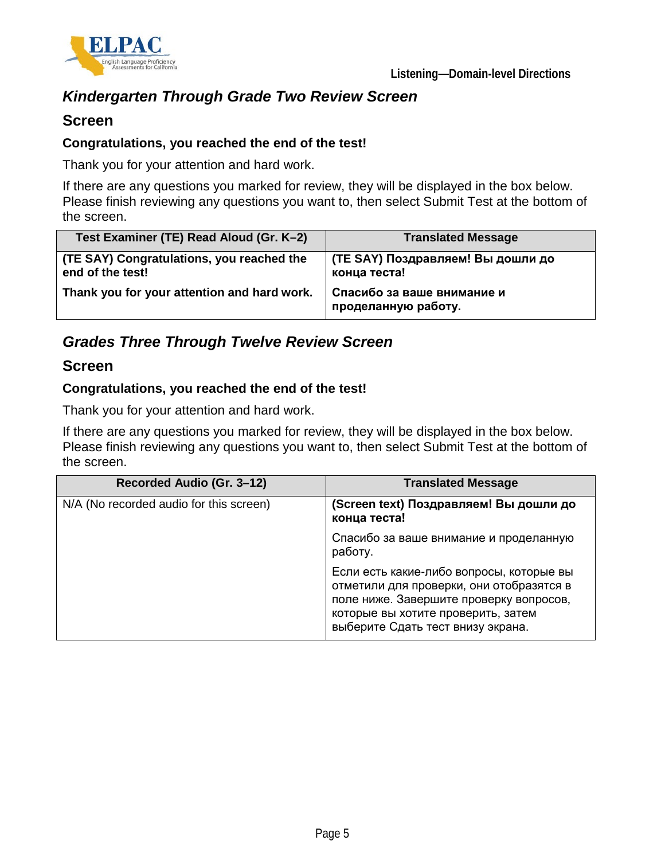



## *Kindergarten Through Grade Two Review Screen*

### **Screen**

### **Congratulations, you reached the end of the test!**

Thank you for your attention and hard work.

If there are any questions you marked for review, they will be displayed in the box below. Please finish reviewing any questions you want to, then select Submit Test at the bottom of the screen.

| Test Examiner (TE) Read Aloud (Gr. K-2)                       | <b>Translated Message</b>                         |
|---------------------------------------------------------------|---------------------------------------------------|
| (TE SAY) Congratulations, you reached the<br>end of the test! | (TE SAY) Поздравляем! Вы дошли до<br>конца теста! |
| Thank you for your attention and hard work.                   | Спасибо за ваше внимание и<br>проделанную работу. |

## *Grades Three Through Twelve Review Screen*

### **Screen**

### **Congratulations, you reached the end of the test!**

Thank you for your attention and hard work.

If there are any questions you marked for review, they will be displayed in the box below. Please finish reviewing any questions you want to, then select Submit Test at the bottom of the screen.

| Recorded Audio (Gr. 3-12)               | <b>Translated Message</b>                                                                                                                                                                                  |
|-----------------------------------------|------------------------------------------------------------------------------------------------------------------------------------------------------------------------------------------------------------|
| N/A (No recorded audio for this screen) | (Screen text) Поздравляем! Вы дошли до<br>конца теста!                                                                                                                                                     |
|                                         | Спасибо за ваше внимание и проделанную<br>работу.                                                                                                                                                          |
|                                         | Если есть какие-либо вопросы, которые вы<br>отметили для проверки, они отобразятся в<br>поле ниже. Завершите проверку вопросов,<br>которые вы хотите проверить, затем<br>выберите Сдать тест внизу экрана. |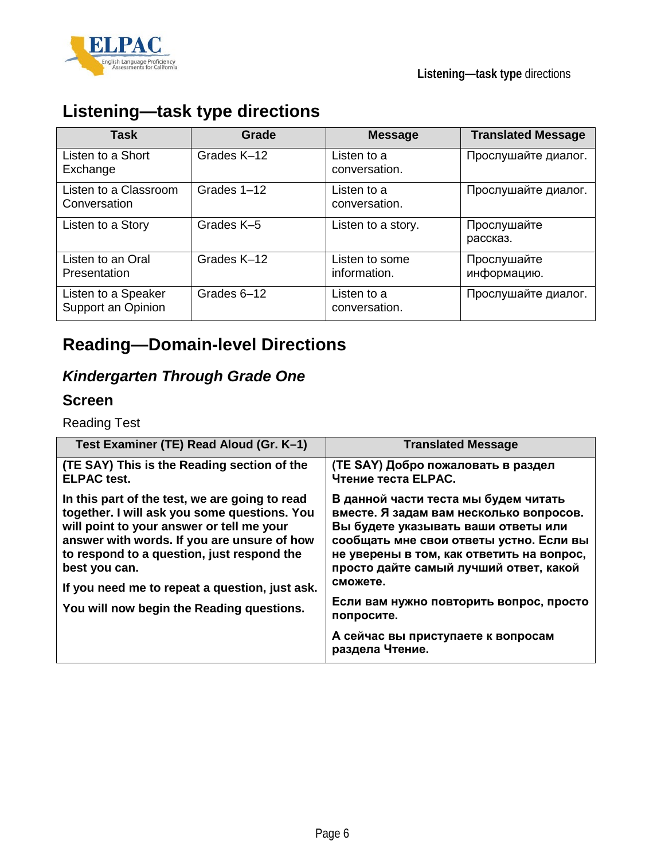



# **Listening—task type directions**

| <b>Task</b>                               | Grade       | <b>Message</b>                 | <b>Translated Message</b>  |
|-------------------------------------------|-------------|--------------------------------|----------------------------|
| Listen to a Short<br>Exchange             | Grades K-12 | Listen to a<br>conversation.   | Прослушайте диалог.        |
| Listen to a Classroom<br>Conversation     | Grades 1-12 | Listen to a<br>conversation.   | Прослушайте диалог.        |
| Listen to a Story                         | Grades K-5  | Listen to a story.             | Прослушайте<br>рассказ.    |
| Listen to an Oral<br>Presentation         | Grades K-12 | Listen to some<br>information. | Прослушайте<br>информацию. |
| Listen to a Speaker<br>Support an Opinion | Grades 6-12 | Listen to a<br>conversation.   | Прослушайте диалог.        |

# **Reading—Domain-level Directions**

## *Kindergarten Through Grade One*

### **Screen**

Reading Test

| Test Examiner (TE) Read Aloud (Gr. K-1)                                                                                                                                                                                                                                                                                                                  | <b>Translated Message</b>                                                                                                                                                                                                                                                                                                                                           |
|----------------------------------------------------------------------------------------------------------------------------------------------------------------------------------------------------------------------------------------------------------------------------------------------------------------------------------------------------------|---------------------------------------------------------------------------------------------------------------------------------------------------------------------------------------------------------------------------------------------------------------------------------------------------------------------------------------------------------------------|
| (TE SAY) This is the Reading section of the<br><b>ELPAC</b> test.                                                                                                                                                                                                                                                                                        | (TE SAY) Добро пожаловать в раздел<br>Чтение теста ELPAC.                                                                                                                                                                                                                                                                                                           |
| In this part of the test, we are going to read<br>together. I will ask you some questions. You<br>will point to your answer or tell me your<br>answer with words. If you are unsure of how<br>to respond to a question, just respond the<br>best you can.<br>If you need me to repeat a question, just ask.<br>You will now begin the Reading questions. | В данной части теста мы будем читать<br>вместе. Я задам вам несколько вопросов.<br>Вы будете указывать ваши ответы или<br>сообщать мне свои ответы устно. Если вы<br>не уверены в том, как ответить на вопрос,<br>просто дайте самый лучший ответ, какой<br>сможете.<br>Если вам нужно повторить вопрос, просто<br>попросите.<br>А сейчас вы приступаете к вопросам |
|                                                                                                                                                                                                                                                                                                                                                          | раздела Чтение.                                                                                                                                                                                                                                                                                                                                                     |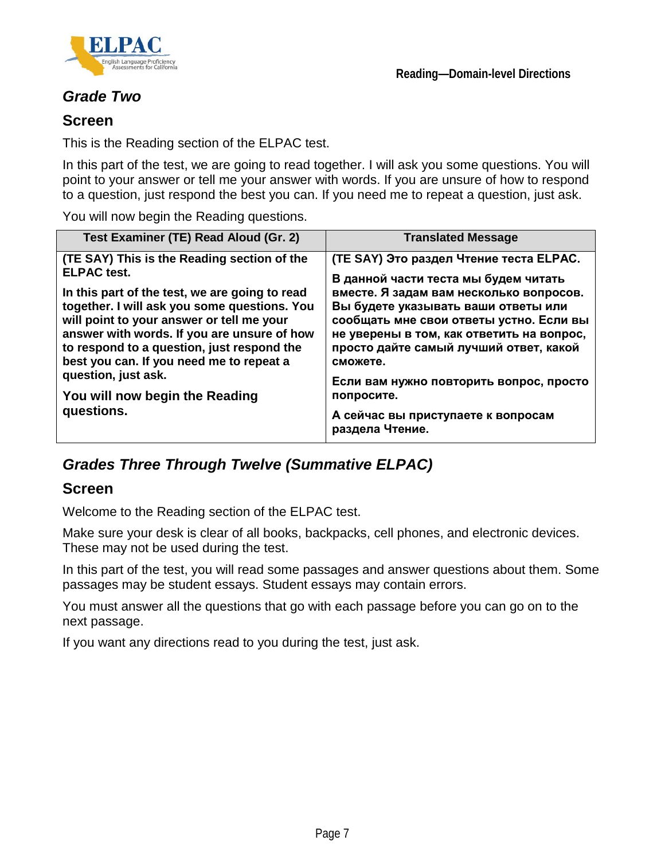

## *Grade Two*

### **Screen**

This is the Reading section of the ELPAC test.

In this part of the test, we are going to read together. I will ask you some questions. You will point to your answer or tell me your answer with words. If you are unsure of how to respond to a question, just respond the best you can. If you need me to repeat a question, just ask.

You will now begin the Reading questions.

| Test Examiner (TE) Read Aloud (Gr. 2)                                                                                                                                                                                                                                                                                                                                                                                            | <b>Translated Message</b>                                                                                                                                                                                                                                                                                                                                                                                                         |
|----------------------------------------------------------------------------------------------------------------------------------------------------------------------------------------------------------------------------------------------------------------------------------------------------------------------------------------------------------------------------------------------------------------------------------|-----------------------------------------------------------------------------------------------------------------------------------------------------------------------------------------------------------------------------------------------------------------------------------------------------------------------------------------------------------------------------------------------------------------------------------|
| (TE SAY) This is the Reading section of the<br><b>ELPAC</b> test.<br>In this part of the test, we are going to read<br>together. I will ask you some questions. You<br>will point to your answer or tell me your<br>answer with words. If you are unsure of how<br>to respond to a question, just respond the<br>best you can. If you need me to repeat a<br>question, just ask.<br>You will now begin the Reading<br>questions. | (TE SAY) Это раздел Чтение теста ELPAC.<br>В данной части теста мы будем читать<br>вместе. Я задам вам несколько вопросов.<br>Вы будете указывать ваши ответы или<br>сообщать мне свои ответы устно. Если вы<br>не уверены в том, как ответить на вопрос,<br>просто дайте самый лучший ответ, какой<br>сможете.<br>Если вам нужно повторить вопрос, просто<br>попросите.<br>А сейчас вы приступаете к вопросам<br>раздела Чтение. |

## *Grades Three Through Twelve (Summative ELPAC)*

### **Screen**

Welcome to the Reading section of the ELPAC test.

Make sure your desk is clear of all books, backpacks, cell phones, and electronic devices. These may not be used during the test.

In this part of the test, you will read some passages and answer questions about them. Some passages may be student essays. Student essays may contain errors.

You must answer all the questions that go with each passage before you can go on to the next passage.

If you want any directions read to you during the test, just ask.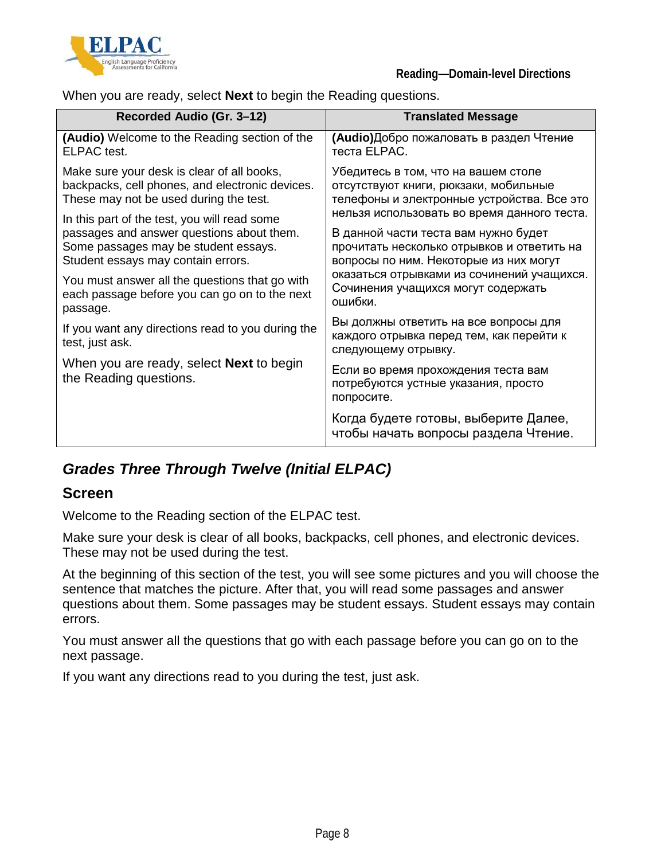

When you are ready, select **Next** to begin the Reading questions.

| Recorded Audio (Gr. 3-12)                                                 | <b>Translated Message</b>                                                                                |
|---------------------------------------------------------------------------|----------------------------------------------------------------------------------------------------------|
| <b>(Audio)</b> Welcome to the Reading section of the                      | (Audio) Добро пожаловать в раздел Чтение                                                                 |
| ELPAC test.                                                               | теста ELPAC.                                                                                             |
| Make sure your desk is clear of all books,                                | Убедитесь в том, что на вашем столе                                                                      |
| backpacks, cell phones, and electronic devices.                           | отсутствуют книги, рюкзаки, мобильные                                                                    |
| These may not be used during the test.                                    | телефоны и электронные устройства. Все это                                                               |
| In this part of the test, you will read some                              | нельзя использовать во время данного теста.                                                              |
| passages and answer questions about them.                                 | В данной части теста вам нужно будет                                                                     |
| Some passages may be student essays.                                      | прочитать несколько отрывков и ответить на                                                               |
| Student essays may contain errors.                                        | вопросы по ним. Некоторые из них могут                                                                   |
| You must answer all the questions that go with                            | оказаться отрывками из сочинений учащихся.                                                               |
| each passage before you can go on to the next                             | Сочинения учащихся могут содержать                                                                       |
| passage.                                                                  | ошибки.                                                                                                  |
| If you want any directions read to you during the<br>test, just ask.      | Вы должны ответить на все вопросы для<br>каждого отрывка перед тем, как перейти к<br>следующему отрывку. |
| When you are ready, select <b>Next</b> to begin<br>the Reading questions. | Если во время прохождения теста вам<br>потребуются устные указания, просто<br>попросите.                 |
|                                                                           | Когда будете готовы, выберите Далее,<br>чтобы начать вопросы раздела Чтение.                             |

## *Grades Three Through Twelve (Initial ELPAC)*

### **Screen**

Welcome to the Reading section of the ELPAC test.

Make sure your desk is clear of all books, backpacks, cell phones, and electronic devices. These may not be used during the test.

At the beginning of this section of the test, you will see some pictures and you will choose the sentence that matches the picture. After that, you will read some passages and answer questions about them. Some passages may be student essays. Student essays may contain errors.

You must answer all the questions that go with each passage before you can go on to the next passage.

If you want any directions read to you during the test, just ask.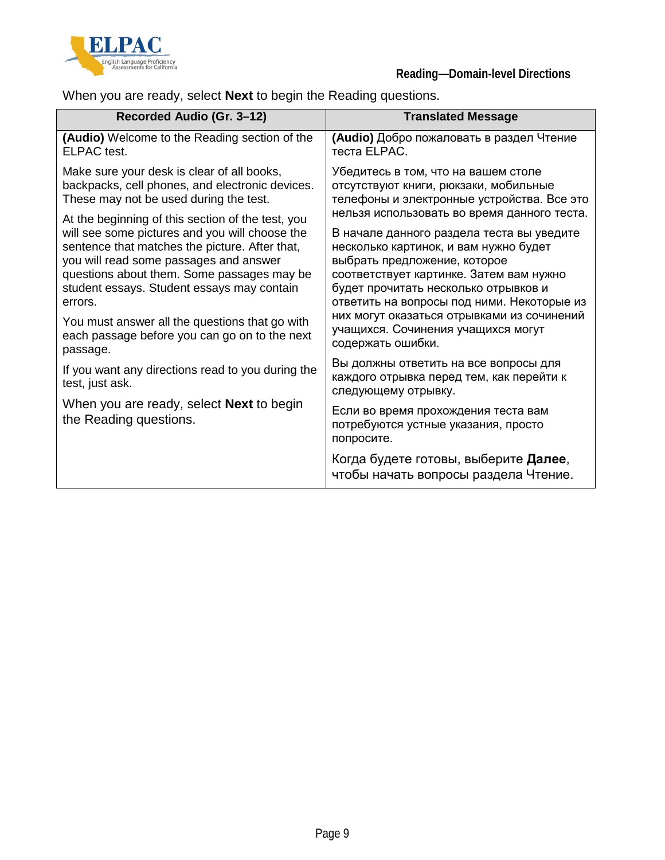

When you are ready, select **Next** to begin the Reading questions.

| Recorded Audio (Gr. 3-12)                                                 | <b>Translated Message</b>                                                                                |
|---------------------------------------------------------------------------|----------------------------------------------------------------------------------------------------------|
| (Audio) Welcome to the Reading section of the                             | (Audio) Добро пожаловать в раздел Чтение                                                                 |
| ELPAC test.                                                               | теста ELPAC.                                                                                             |
| Make sure your desk is clear of all books,                                | Убедитесь в том, что на вашем столе                                                                      |
| backpacks, cell phones, and electronic devices.                           | отсутствуют книги, рюкзаки, мобильные                                                                    |
| These may not be used during the test.                                    | телефоны и электронные устройства. Все это                                                               |
| At the beginning of this section of the test, you                         | нельзя использовать во время данного теста.                                                              |
| will see some pictures and you will choose the                            | В начале данного раздела теста вы уведите                                                                |
| sentence that matches the picture. After that,                            | несколько картинок, и вам нужно будет                                                                    |
| you will read some passages and answer                                    | выбрать предложение, которое                                                                             |
| questions about them. Some passages may be                                | соответствует картинке. Затем вам нужно                                                                  |
| student essays. Student essays may contain                                | будет прочитать несколько отрывков и                                                                     |
| errors.                                                                   | ответить на вопросы под ними. Некоторые из                                                               |
| You must answer all the questions that go with                            | них могут оказаться отрывками из сочинений                                                               |
| each passage before you can go on to the next                             | учащихся. Сочинения учащихся могут                                                                       |
| passage.                                                                  | содержать ошибки.                                                                                        |
| If you want any directions read to you during the<br>test, just ask.      | Вы должны ответить на все вопросы для<br>каждого отрывка перед тем, как перейти к<br>следующему отрывку. |
| When you are ready, select <b>Next</b> to begin<br>the Reading questions. | Если во время прохождения теста вам<br>потребуются устные указания, просто<br>попросите.                 |
|                                                                           | Когда будете готовы, выберите <b>Далее</b> ,<br>чтобы начать вопросы раздела Чтение.                     |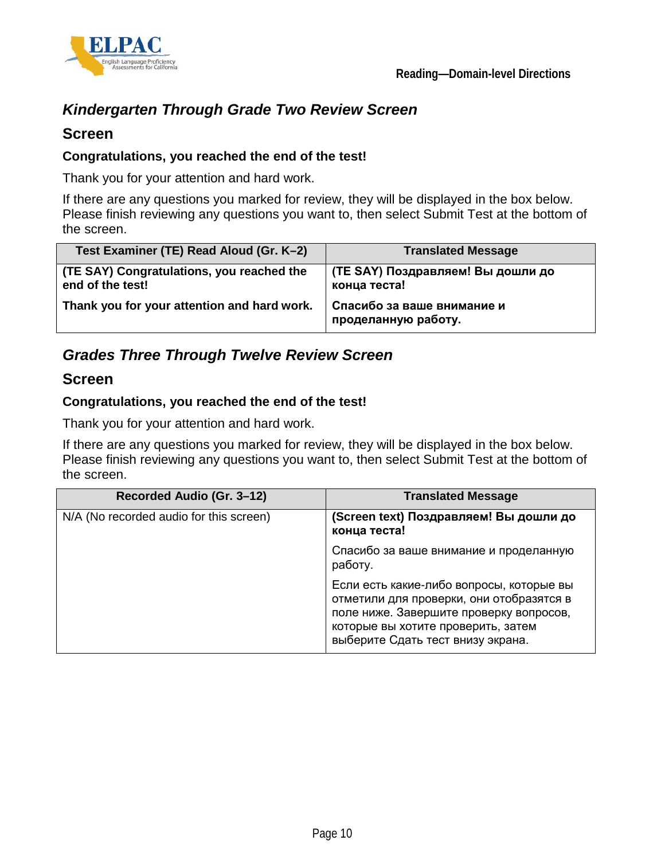



## *Kindergarten Through Grade Two Review Screen*

### **Screen**

### **Congratulations, you reached the end of the test!**

Thank you for your attention and hard work.

If there are any questions you marked for review, they will be displayed in the box below. Please finish reviewing any questions you want to, then select Submit Test at the bottom of the screen.

| Test Examiner (TE) Read Aloud (Gr. K-2)                       | <b>Translated Message</b>                         |
|---------------------------------------------------------------|---------------------------------------------------|
| (TE SAY) Congratulations, you reached the<br>end of the test! | (TE SAY) Поздравляем! Вы дошли до<br>конца теста! |
| Thank you for your attention and hard work.                   | Спасибо за ваше внимание и<br>проделанную работу. |

## *Grades Three Through Twelve Review Screen*

### **Screen**

### **Congratulations, you reached the end of the test!**

Thank you for your attention and hard work.

If there are any questions you marked for review, they will be displayed in the box below. Please finish reviewing any questions you want to, then select Submit Test at the bottom of the screen.

| Recorded Audio (Gr. 3-12)               | <b>Translated Message</b>                                                                                                                                                                                  |
|-----------------------------------------|------------------------------------------------------------------------------------------------------------------------------------------------------------------------------------------------------------|
| N/A (No recorded audio for this screen) | (Screen text) Поздравляем! Вы дошли до<br>конца теста!                                                                                                                                                     |
|                                         | Спасибо за ваше внимание и проделанную<br>работу.                                                                                                                                                          |
|                                         | Если есть какие-либо вопросы, которые вы<br>отметили для проверки, они отобразятся в<br>поле ниже. Завершите проверку вопросов,<br>которые вы хотите проверить, затем<br>выберите Сдать тест внизу экрана. |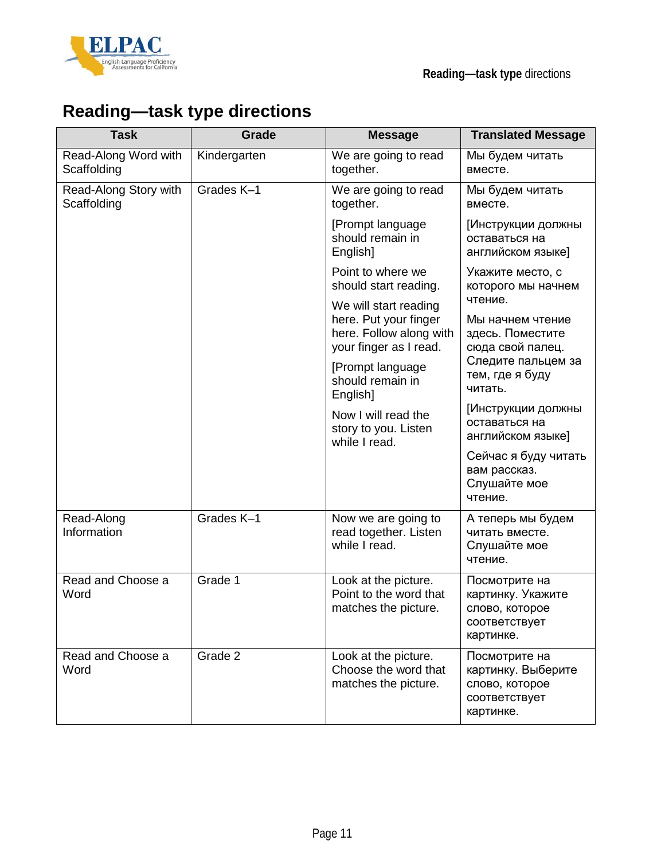



# **Reading—task type directions**

| <b>Task</b>                          | Grade        | <b>Message</b>                                                                                      | <b>Translated Message</b>                                                           |
|--------------------------------------|--------------|-----------------------------------------------------------------------------------------------------|-------------------------------------------------------------------------------------|
| Read-Along Word with<br>Scaffolding  | Kindergarten | We are going to read<br>together.                                                                   | Мы будем читать<br>вместе.                                                          |
| Read-Along Story with<br>Scaffolding | Grades K-1   | We are going to read<br>together.                                                                   | Мы будем читать<br>вместе.                                                          |
|                                      |              | [Prompt language<br>should remain in<br>English]                                                    | [Инструкции должны<br>оставаться на<br>английском языке]                            |
|                                      |              | Point to where we<br>should start reading.                                                          | Укажите место, с<br>которого мы начнем                                              |
|                                      |              | We will start reading<br>here. Put your finger<br>here. Follow along with<br>your finger as I read. | чтение.<br>Мы начнем чтение<br>здесь. Поместите<br>сюда свой палец.                 |
|                                      |              | [Prompt language]<br>should remain in<br>English]                                                   | Следите пальцем за<br>тем, где я буду<br>читать.                                    |
|                                      |              | Now I will read the<br>story to you. Listen<br>while I read.                                        | [Инструкции должны<br>оставаться на<br>английском языке]                            |
|                                      |              |                                                                                                     | Сейчас я буду читать<br>вам рассказ.<br>Слушайте мое<br>чтение.                     |
| Read-Along<br>Information            | Grades K-1   | Now we are going to<br>read together. Listen<br>while I read.                                       | А теперь мы будем<br>читать вместе.<br>Слушайте мое<br>чтение.                      |
| Read and Choose a<br>Word            | Grade 1      | Look at the picture.<br>Point to the word that<br>matches the picture.                              | Посмотрите на<br>картинку. Укажите<br>слово, которое<br>соответствует<br>картинке.  |
| Read and Choose a<br>Word            | Grade 2      | Look at the picture.<br>Choose the word that<br>matches the picture.                                | Посмотрите на<br>картинку. Выберите<br>слово, которое<br>соответствует<br>картинке. |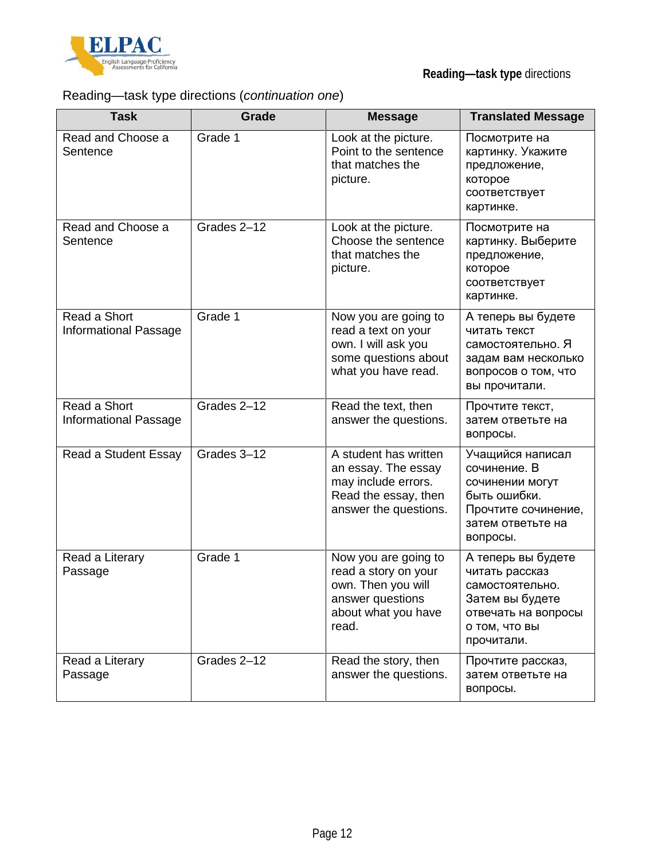

## Reading—task type directions (*continuation one*)

| <b>Task</b>                           | Grade       | <b>Message</b>                                                                                                         | <b>Translated Message</b>                                                                                                        |
|---------------------------------------|-------------|------------------------------------------------------------------------------------------------------------------------|----------------------------------------------------------------------------------------------------------------------------------|
| Read and Choose a<br>Sentence         | Grade 1     | Look at the picture.<br>Point to the sentence<br>that matches the<br>picture.                                          | Посмотрите на<br>картинку. Укажите<br>предложение,<br>которое<br>соответствует<br>картинке.                                      |
| Read and Choose a<br>Sentence         | Grades 2-12 | Look at the picture.<br>Choose the sentence<br>that matches the<br>picture.                                            | Посмотрите на<br>картинку. Выберите<br>предложение,<br>которое<br>соответствует<br>картинке.                                     |
| Read a Short<br>Informational Passage | Grade 1     | Now you are going to<br>read a text on your<br>own. I will ask you<br>some questions about<br>what you have read.      | А теперь вы будете<br>читать текст<br>самостоятельно. Я<br>задам вам несколько<br>вопросов о том, что<br>вы прочитали.           |
| Read a Short<br>Informational Passage | Grades 2-12 | Read the text, then<br>answer the questions.                                                                           | Прочтите текст,<br>затем ответьте на<br>вопросы.                                                                                 |
| Read a Student Essay                  | Grades 3-12 | A student has written<br>an essay. The essay<br>may include errors.<br>Read the essay, then<br>answer the questions.   | Учащийся написал<br>сочинение. В<br>сочинении могут<br>быть ошибки.<br>Прочтите сочинение,<br>затем ответьте на<br>вопросы.      |
| Read a Literary<br>Passage            | Grade 1     | Now you are going to<br>read a story on your<br>own. Then you will<br>answer questions<br>about what you have<br>read. | А теперь вы будете<br>читать рассказ<br>самостоятельно.<br>Затем вы будете<br>отвечать на вопросы<br>о том, что вы<br>прочитали. |
| Read a Literary<br>Passage            | Grades 2-12 | Read the story, then<br>answer the questions.                                                                          | Прочтите рассказ,<br>затем ответьте на<br>вопросы.                                                                               |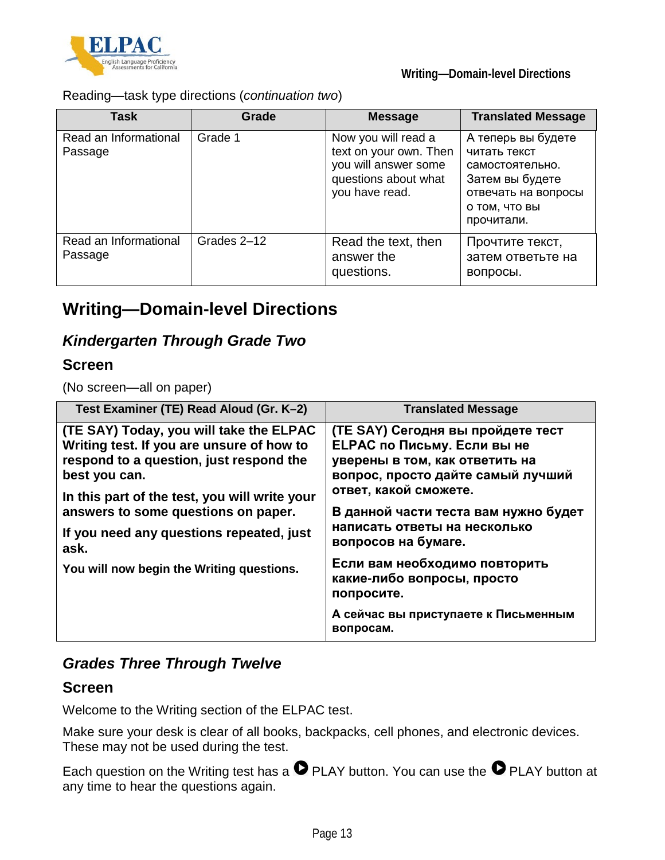

Reading—task type directions (*continuation two*)

| <b>Task</b>                      | Grade       | <b>Message</b>                                                                                                  | <b>Translated Message</b>                                                                                                      |
|----------------------------------|-------------|-----------------------------------------------------------------------------------------------------------------|--------------------------------------------------------------------------------------------------------------------------------|
| Read an Informational<br>Passage | Grade 1     | Now you will read a<br>text on your own. Then<br>you will answer some<br>questions about what<br>you have read. | А теперь вы будете<br>читать текст<br>самостоятельно.<br>Затем вы будете<br>отвечать на вопросы<br>о том, что вы<br>прочитали. |
| Read an Informational<br>Passage | Grades 2-12 | Read the text, then<br>answer the<br>questions.                                                                 | Прочтите текст,<br>затем ответьте на<br>вопросы.                                                                               |

# **Writing—Domain-level Directions**

## *Kindergarten Through Grade Two*

### **Screen**

(No screen—all on paper)

| Test Examiner (TE) Read Aloud (Gr. K-2)                                                                                                          | <b>Translated Message</b>                                                                                                                      |  |
|--------------------------------------------------------------------------------------------------------------------------------------------------|------------------------------------------------------------------------------------------------------------------------------------------------|--|
| (TE SAY) Today, you will take the ELPAC<br>Writing test. If you are unsure of how to<br>respond to a question, just respond the<br>best you can. | (TE SAY) Сегодня вы пройдете тест<br><b>ELPAC по Письму. Если вы не</b><br>уверены в том, как ответить на<br>вопрос, просто дайте самый лучший |  |
| In this part of the test, you will write your<br>answers to some questions on paper.<br>If you need any questions repeated, just<br>ask.         | ответ, какой сможете.<br>В данной части теста вам нужно будет<br>написать ответы на несколько<br>вопросов на бумаге.                           |  |
| You will now begin the Writing questions.                                                                                                        | Если вам необходимо повторить<br>какие-либо вопросы, просто<br>попросите.                                                                      |  |
|                                                                                                                                                  | А сейчас вы приступаете к Письменным<br>вопросам.                                                                                              |  |

## *Grades Three Through Twelve*

### **Screen**

Welcome to the Writing section of the ELPAC test.

Make sure your desk is clear of all books, backpacks, cell phones, and electronic devices. These may not be used during the test.

Each question on the Writing test has a  $\bullet$  PLAY button. You can use the  $\bullet$  PLAY button at any time to hear the questions again.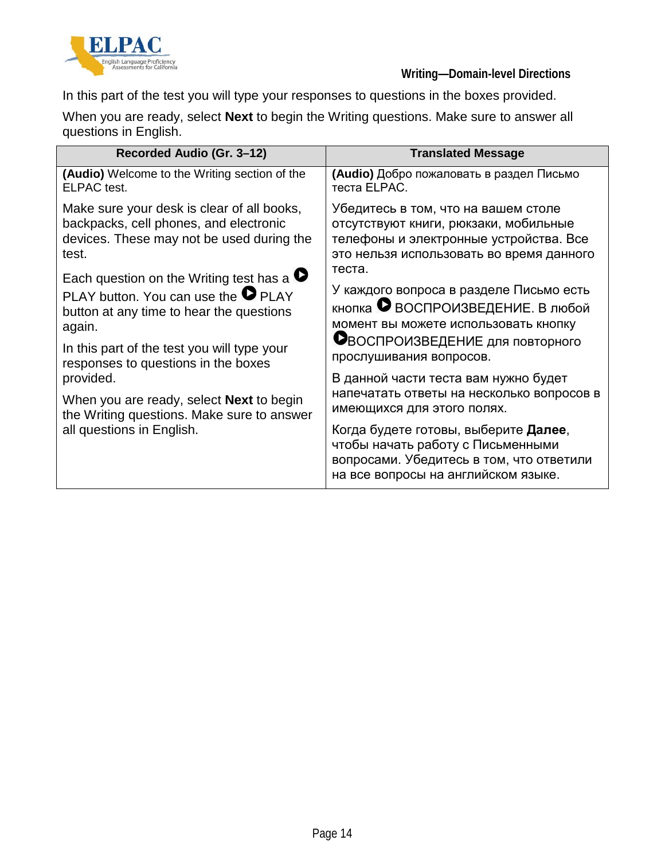

In this part of the test you will type your responses to questions in the boxes provided.

When you are ready, select **Next** to begin the Writing questions. Make sure to answer all questions in English.

| Recorded Audio (Gr. 3-12)                                                                                                                                                                                                                                                                                                                                                               | <b>Translated Message</b>                                                                                                                                                                                                                                                                                                                                                                                                                                                               |
|-----------------------------------------------------------------------------------------------------------------------------------------------------------------------------------------------------------------------------------------------------------------------------------------------------------------------------------------------------------------------------------------|-----------------------------------------------------------------------------------------------------------------------------------------------------------------------------------------------------------------------------------------------------------------------------------------------------------------------------------------------------------------------------------------------------------------------------------------------------------------------------------------|
| <b>(Audio)</b> Welcome to the Writing section of the                                                                                                                                                                                                                                                                                                                                    | (Audio) Добро пожаловать в раздел Письмо                                                                                                                                                                                                                                                                                                                                                                                                                                                |
| <b>ELPAC</b> test.                                                                                                                                                                                                                                                                                                                                                                      | теста ELPAC.                                                                                                                                                                                                                                                                                                                                                                                                                                                                            |
| Make sure your desk is clear of all books,                                                                                                                                                                                                                                                                                                                                              | Убедитесь в том, что на вашем столе                                                                                                                                                                                                                                                                                                                                                                                                                                                     |
| backpacks, cell phones, and electronic                                                                                                                                                                                                                                                                                                                                                  | отсутствуют книги, рюкзаки, мобильные                                                                                                                                                                                                                                                                                                                                                                                                                                                   |
| devices. These may not be used during the                                                                                                                                                                                                                                                                                                                                               | телефоны и электронные устройства. Все                                                                                                                                                                                                                                                                                                                                                                                                                                                  |
| test.                                                                                                                                                                                                                                                                                                                                                                                   | это нельзя использовать во время данного                                                                                                                                                                                                                                                                                                                                                                                                                                                |
| Each question on the Writing test has a $\bullet$<br>PLAY button. You can use the $\bullet$ PLAY<br>button at any time to hear the questions<br>again.<br>In this part of the test you will type your<br>responses to questions in the boxes<br>provided.<br>When you are ready, select <b>Next</b> to begin<br>the Writing questions. Make sure to answer<br>all questions in English. | теста.<br>У каждого вопроса в разделе Письмо есть<br>кнопка • ВОСПРОИЗВЕДЕНИЕ. В любой<br>момент вы можете использовать кнопку<br>Овоспроизведение для повторного<br>прослушивания вопросов.<br>В данной части теста вам нужно будет<br>напечатать ответы на несколько вопросов в<br>имеющихся для этого полях.<br>Когда будете готовы, выберите <b>Далее</b> ,<br>чтобы начать работу с Письменными<br>вопросами. Убедитесь в том, что ответили<br>на все вопросы на английском языке. |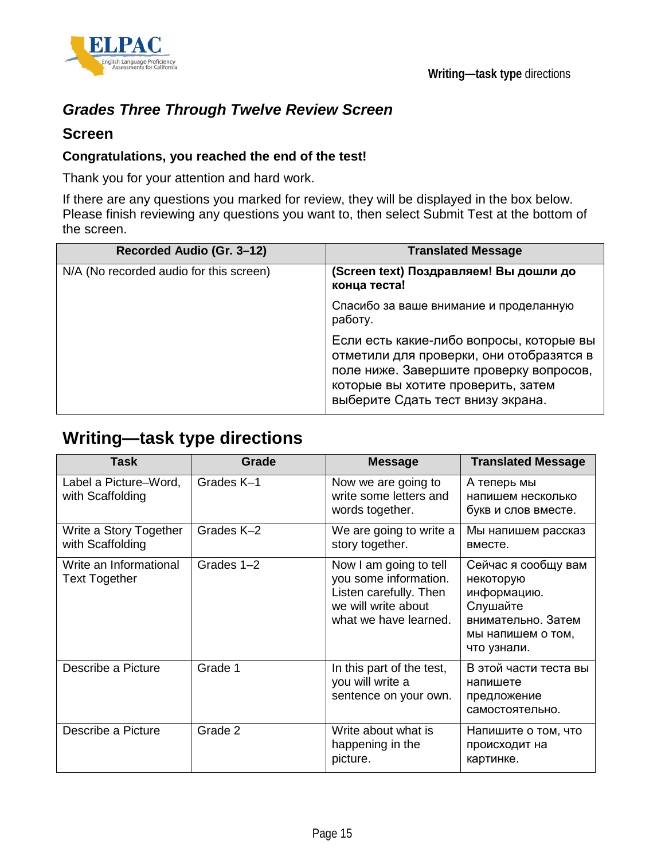



## *Grades Three Through Twelve Review Screen*

### **Screen**

### **Congratulations, you reached the end of the test!**

Thank you for your attention and hard work.

If there are any questions you marked for review, they will be displayed in the box below. Please finish reviewing any questions you want to, then select Submit Test at the bottom of the screen.

| Recorded Audio (Gr. 3-12)               | <b>Translated Message</b>                                                                                                                                                                                  |
|-----------------------------------------|------------------------------------------------------------------------------------------------------------------------------------------------------------------------------------------------------------|
| N/A (No recorded audio for this screen) | (Screen text) Поздравляем! Вы дошли до<br>конца теста!                                                                                                                                                     |
|                                         | Спасибо за ваше внимание и проделанную<br>работу.                                                                                                                                                          |
|                                         | Если есть какие-либо вопросы, которые вы<br>отметили для проверки, они отобразятся в<br>поле ниже. Завершите проверку вопросов,<br>которые вы хотите проверить, затем<br>выберите Сдать тест внизу экрана. |

# **Writing—task type directions**

| Task                                           | Grade      | <b>Message</b>                                                                                                            | <b>Translated Message</b>                                                                                             |
|------------------------------------------------|------------|---------------------------------------------------------------------------------------------------------------------------|-----------------------------------------------------------------------------------------------------------------------|
| Label a Picture–Word,<br>with Scaffolding      | Grades K-1 | Now we are going to<br>write some letters and<br>words together.                                                          | А теперь мы<br>напишем несколько<br>букв и слов вместе.                                                               |
| Write a Story Together<br>with Scaffolding     | Grades K-2 | We are going to write a<br>story together.                                                                                | Мы напишем рассказ<br>вместе.                                                                                         |
| Write an Informational<br><b>Text Together</b> | Grades 1-2 | Now I am going to tell<br>you some information.<br>Listen carefully. Then<br>we will write about<br>what we have learned. | Сейчас я сообщу вам<br>некоторую<br>информацию.<br>Слушайте<br>внимательно. Затем<br>мы напишем о том,<br>что узнали. |
| Describe a Picture                             | Grade 1    | In this part of the test,<br>you will write a<br>sentence on your own.                                                    | В этой части теста вы<br>напишете<br>предложение<br>самостоятельно.                                                   |
| Describe a Picture                             | Grade 2    | Write about what is<br>happening in the<br>picture.                                                                       | Напишите о том, что<br>происходит на<br>картинке.                                                                     |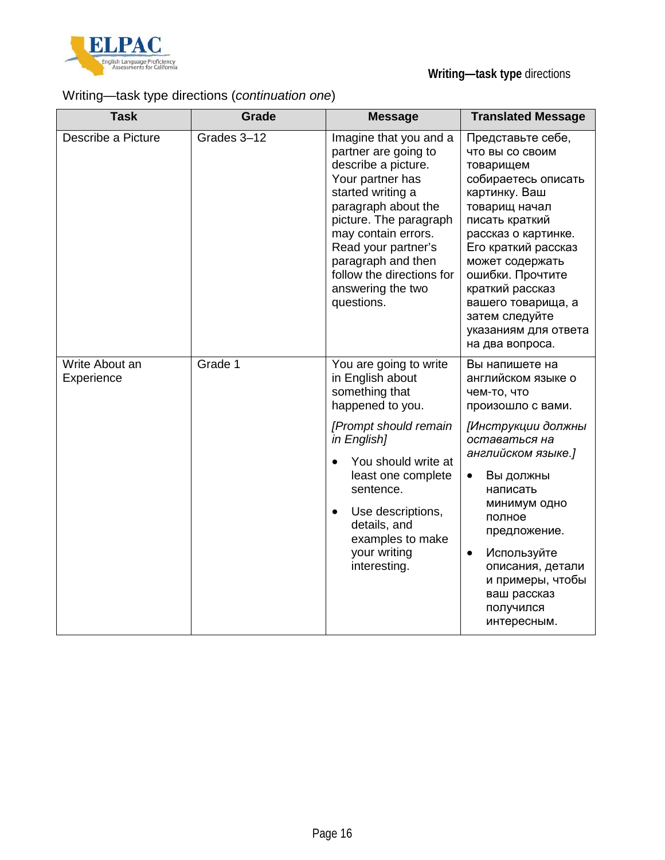

## Writing—task type directions (*continuation one*)

| <b>Task</b>                  | Grade       | <b>Message</b>                                                                                                                                                                                                                                                                                        | <b>Translated Message</b>                                                                                                                                                                                                                                                                                                            |
|------------------------------|-------------|-------------------------------------------------------------------------------------------------------------------------------------------------------------------------------------------------------------------------------------------------------------------------------------------------------|--------------------------------------------------------------------------------------------------------------------------------------------------------------------------------------------------------------------------------------------------------------------------------------------------------------------------------------|
| Describe a Picture           | Grades 3-12 | Imagine that you and a<br>partner are going to<br>describe a picture.<br>Your partner has<br>started writing a<br>paragraph about the<br>picture. The paragraph<br>may contain errors.<br>Read your partner's<br>paragraph and then<br>follow the directions for<br>answering the two<br>questions.   | Представьте себе,<br><b>ЧТО ВЫ СО СВОИМ</b><br>товарищем<br>собираетесь описать<br>картинку. Ваш<br>товарищ начал<br>писать краткий<br>рассказ о картинке.<br>Его краткий рассказ<br>может содержать<br>ошибки. Прочтите<br>краткий рассказ<br>вашего товарища, а<br>затем следуйте<br>указаниям для ответа<br>на два вопроса.       |
| Write About an<br>Experience | Grade 1     | You are going to write<br>in English about<br>something that<br>happened to you.<br>[Prompt should remain<br>in English]<br>You should write at<br>$\bullet$<br>least one complete<br>sentence.<br>Use descriptions,<br>$\bullet$<br>details, and<br>examples to make<br>your writing<br>interesting. | Вы напишете на<br>английском языке о<br>чем-то, что<br>произошло с вами.<br>[Инструкции должны<br>оставаться на<br>английском языке.]<br>Вы должны<br>$\bullet$<br>написать<br>минимум одно<br>полное<br>предложение.<br>Используйте<br>$\bullet$<br>описания, детали<br>и примеры, чтобы<br>ваш рассказ<br>получился<br>интересным. |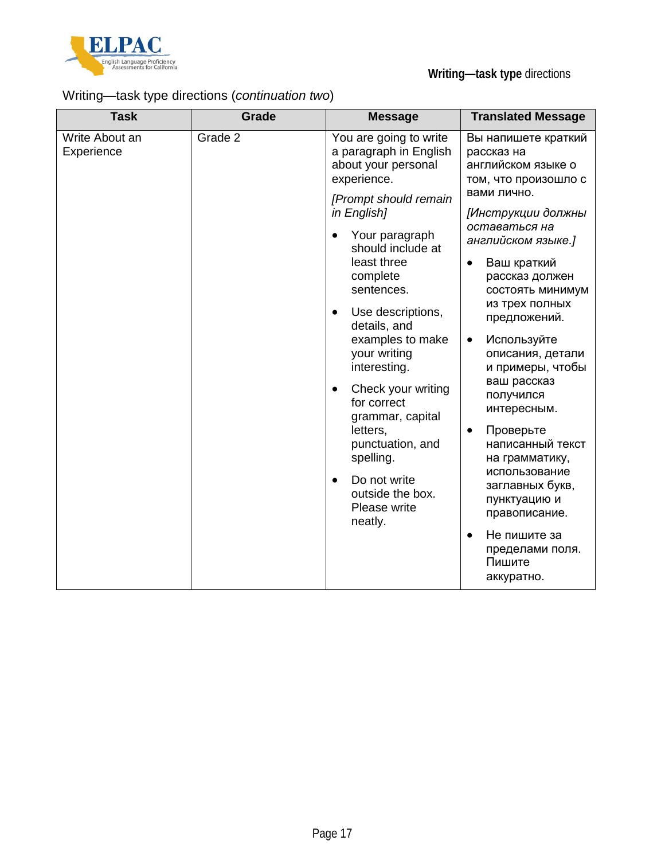

## Writing—task type directions (*continuation two*)

| Write About an<br>Grade 2<br>Experience<br>$\bullet$<br>$\bullet$ | You are going to write<br>a paragraph in English<br>about your personal<br>experience.<br>[Prompt should remain<br>in English]<br>Your paragraph<br>should include at<br>least three<br>complete<br>sentences.<br>Use descriptions,<br>details, and<br>examples to make<br>your writing<br>interesting.<br>Check your writing<br>for correct<br>grammar, capital<br>letters,<br>punctuation, and<br>spelling.<br>Do not write<br>outside the box.<br>Please write<br>neatly. | Вы напишете краткий<br>рассказ на<br>английском языке о<br>том, что произошло с<br>вами лично.<br>[Инструкции должны<br>оставаться на<br>английском языке.]<br>Ваш краткий<br>рассказ должен<br>состоять минимум<br>из трех полных<br>предложений.<br>Используйте<br>$\bullet$<br>описания, детали<br>и примеры, чтобы<br>ваш рассказ<br>получился<br>интересным.<br>Проверьте<br>$\bullet$<br>написанный текст<br>на грамматику,<br>использование<br>заглавных букв,<br>пунктуацию и<br>правописание.<br>Не пишите за<br>$\bullet$<br>пределами поля.<br>Пишите<br>аккуратно. |
|-------------------------------------------------------------------|------------------------------------------------------------------------------------------------------------------------------------------------------------------------------------------------------------------------------------------------------------------------------------------------------------------------------------------------------------------------------------------------------------------------------------------------------------------------------|--------------------------------------------------------------------------------------------------------------------------------------------------------------------------------------------------------------------------------------------------------------------------------------------------------------------------------------------------------------------------------------------------------------------------------------------------------------------------------------------------------------------------------------------------------------------------------|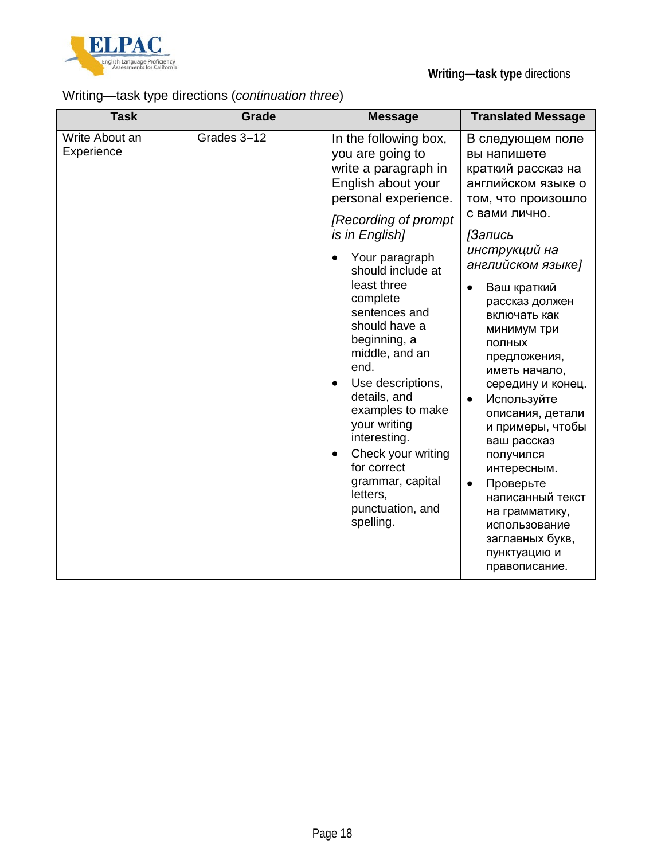

## Writing—task type directions (*continuation three*)

| <b>Task</b>                  | <b>Grade</b> | <b>Message</b>                                                                                                                                                                                                                                                                                                                                                                                                                                                                                                                                | <b>Translated Message</b>                                                                                                                                                                                                                                                                                                                                                                                                                                                                                                                         |
|------------------------------|--------------|-----------------------------------------------------------------------------------------------------------------------------------------------------------------------------------------------------------------------------------------------------------------------------------------------------------------------------------------------------------------------------------------------------------------------------------------------------------------------------------------------------------------------------------------------|---------------------------------------------------------------------------------------------------------------------------------------------------------------------------------------------------------------------------------------------------------------------------------------------------------------------------------------------------------------------------------------------------------------------------------------------------------------------------------------------------------------------------------------------------|
| Write About an<br>Experience | Grades 3-12  | In the following box,<br>you are going to<br>write a paragraph in<br>English about your<br>personal experience.<br>[Recording of prompt<br>is in English]<br>Your paragraph<br>$\bullet$<br>should include at<br>least three<br>complete<br>sentences and<br>should have a<br>beginning, a<br>middle, and an<br>end.<br>Use descriptions,<br>$\bullet$<br>details, and<br>examples to make<br>your writing<br>interesting.<br>Check your writing<br>$\bullet$<br>for correct<br>grammar, capital<br>letters,<br>punctuation, and<br>spelling. | В следующем поле<br>вы напишете<br>краткий рассказ на<br>английском языке о<br>том, что произошло<br>с вами лично.<br><b>ГЗапись</b><br>инструкций на<br>английском языке]<br>Ваш краткий<br>рассказ должен<br>включать как<br>минимум три<br>ПОЛНЫХ<br>предложения,<br>иметь начало,<br>середину и конец.<br>Используйте<br>описания, детали<br>и примеры, чтобы<br>ваш рассказ<br>получился<br>интересным.<br>Проверьте<br>$\bullet$<br>написанный текст<br>на грамматику,<br>использование<br>заглавных букв,<br>пунктуацию и<br>правописание. |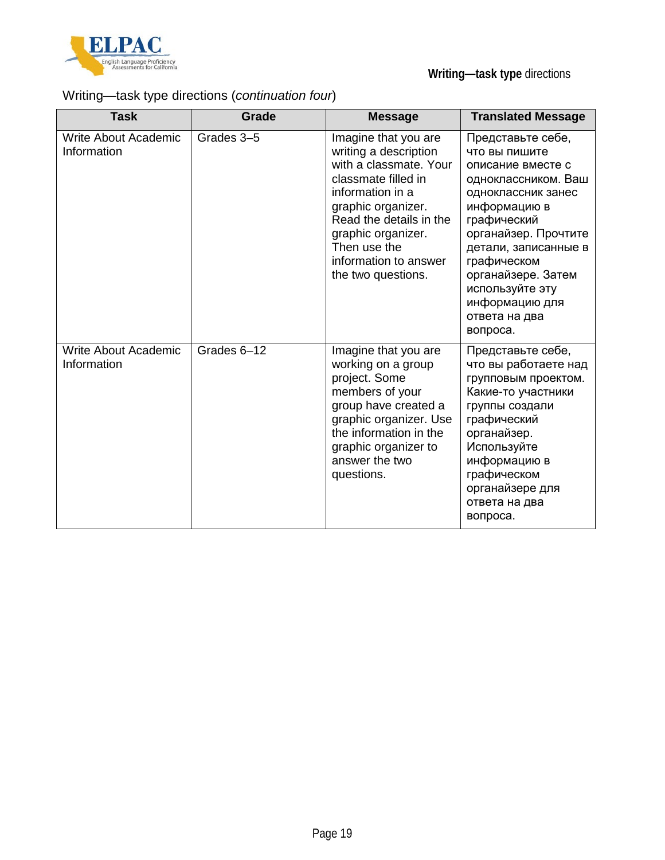

## Writing—task type directions (*continuation four*)

| <b>Task</b>                                | Grade       | <b>Message</b>                                                                                                                                                                                                                                           | <b>Translated Message</b>                                                                                                                                                                                                                                                                  |
|--------------------------------------------|-------------|----------------------------------------------------------------------------------------------------------------------------------------------------------------------------------------------------------------------------------------------------------|--------------------------------------------------------------------------------------------------------------------------------------------------------------------------------------------------------------------------------------------------------------------------------------------|
| <b>Write About Academic</b><br>Information | Grades 3-5  | Imagine that you are<br>writing a description<br>with a classmate. Your<br>classmate filled in<br>information in a<br>graphic organizer.<br>Read the details in the<br>graphic organizer.<br>Then use the<br>information to answer<br>the two questions. | Представьте себе,<br>что вы пишите<br>описание вместе с<br>одноклассником. Ваш<br>одноклассник занес<br>информацию в<br>графический<br>органайзер. Прочтите<br>детали, записанные в<br>графическом<br>органайзере. Затем<br>используйте эту<br>информацию для<br>ответа на два<br>вопроса. |
| <b>Write About Academic</b><br>Information | Grades 6-12 | Imagine that you are<br>working on a group<br>project. Some<br>members of your<br>group have created a<br>graphic organizer. Use<br>the information in the<br>graphic organizer to<br>answer the two<br>questions.                                       | Представьте себе,<br>что вы работаете над<br>групповым проектом.<br>Какие-то участники<br>группы создали<br>графический<br>органайзер.<br>Используйте<br>информацию в<br>графическом<br>органайзере для<br>ответа на два<br>вопроса.                                                       |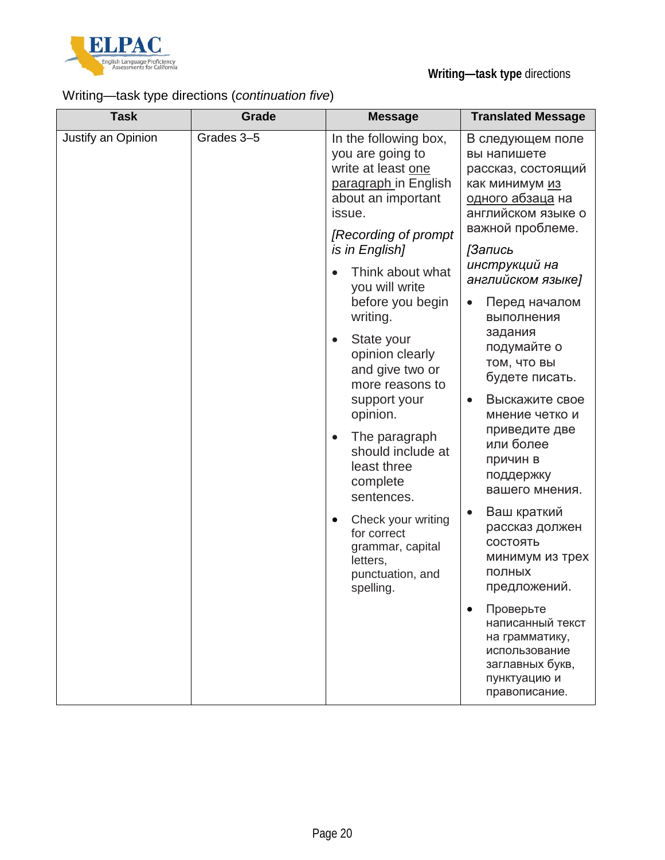

## Writing—task type directions (*continuation five*)

| <b>Task</b>        | Grade                                                                                                                                          | <b>Message</b>                                                                                                                        | <b>Translated Message</b>                                                                                                                                                                                                      |
|--------------------|------------------------------------------------------------------------------------------------------------------------------------------------|---------------------------------------------------------------------------------------------------------------------------------------|--------------------------------------------------------------------------------------------------------------------------------------------------------------------------------------------------------------------------------|
| Justify an Opinion | Grades 3-5<br>issue.<br>is in English]<br>$\bullet$<br>writing.<br>$\bullet$<br>support your<br>opinion.<br>$\bullet$<br>$\bullet$<br>letters, | In the following box,<br>you are going to<br>write at least one<br>paragraph in English<br>about an important<br>[Recording of prompt | В следующем поле<br>вы напишете<br>рассказ, состоящий<br>как минимум из<br><u>одного абзаца</u> на<br>английском языке о<br>важной проблеме.<br><b>ГЗапись</b>                                                                 |
|                    |                                                                                                                                                | Think about what<br>you will write<br>before you begin                                                                                | инструкций на<br>английском языке]<br>Перед началом<br>выполнения<br>задания<br>подумайте о<br><b>ТОМ, ЧТО ВЫ</b><br>будете писать.<br>Выскажите свое<br>мнение четко и<br>приведите две<br>или более<br>причин в<br>поддержку |
|                    |                                                                                                                                                | State your<br>opinion clearly<br>and give two or<br>more reasons to                                                                   |                                                                                                                                                                                                                                |
|                    |                                                                                                                                                | The paragraph<br>should include at<br>least three<br>complete                                                                         |                                                                                                                                                                                                                                |
|                    |                                                                                                                                                | sentences.<br>Check your writing<br>for correct<br>grammar, capital<br>punctuation, and<br>spelling.                                  | вашего мнения.<br>Ваш краткий<br>рассказ должен<br>СОСТОЯТЬ<br>минимум из трех<br>ПОЛНЫХ<br>предложений.                                                                                                                       |
|                    |                                                                                                                                                |                                                                                                                                       | Проверьте<br>написанный текст<br>на грамматику,<br>использование<br>заглавных букв,<br>пунктуацию и<br>правописание.                                                                                                           |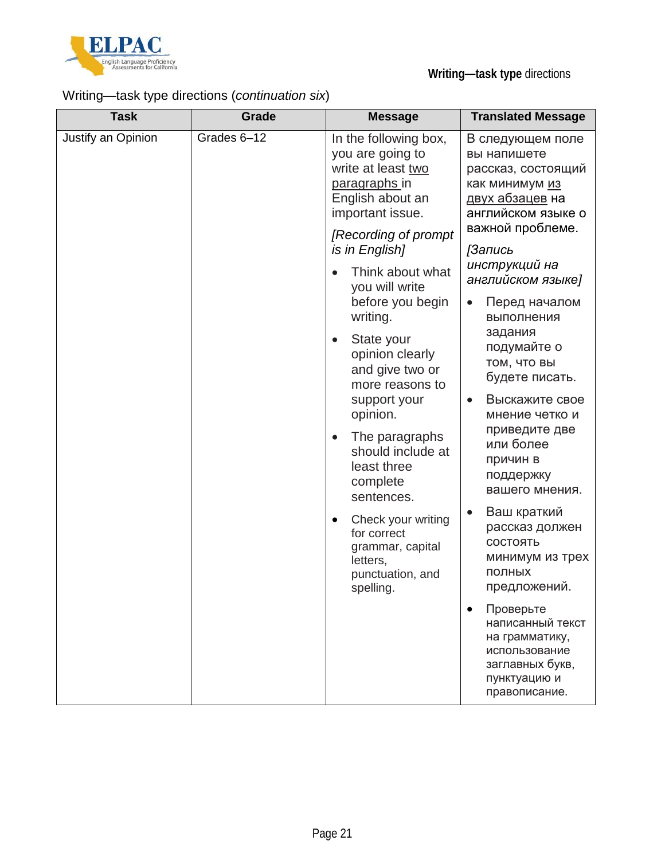

## Writing—task type directions (*continuation six*)

| <b>Task</b>        | Grade                  | <b>Message</b>                                                                                                           | <b>Translated Message</b>                                                                                               |
|--------------------|------------------------|--------------------------------------------------------------------------------------------------------------------------|-------------------------------------------------------------------------------------------------------------------------|
| Justify an Opinion | Grades 6-12            | In the following box,<br>you are going to<br>write at least two<br>paragraphs in<br>English about an<br>important issue. | В следующем поле<br>вы напишете<br>рассказ, состоящий<br>как минимум из<br><u>двух абзацев</u> на<br>английском языке о |
|                    |                        | [Recording of prompt]<br>is in English]                                                                                  | важной проблеме.<br>[Запись                                                                                             |
|                    |                        | Think about what<br>$\bullet$<br>you will write<br>before you begin                                                      | инструкций на<br>английском языке]<br>Перед началом                                                                     |
|                    |                        | writing.                                                                                                                 | выполнения<br>задания                                                                                                   |
|                    |                        | State your<br>$\bullet$<br>opinion clearly<br>and give two or<br>more reasons to                                         | подумайте о<br><b>ТОМ, ЧТО ВЫ</b><br>будете писать.                                                                     |
|                    | $\bullet$<br>$\bullet$ | support your<br>opinion.                                                                                                 | Выскажите свое<br>мнение четко и                                                                                        |
|                    |                        | The paragraphs<br>should include at<br>least three<br>complete<br>sentences.                                             | приведите две<br>или более<br>причин в<br>поддержку<br>вашего мнения.                                                   |
|                    |                        | Check your writing<br>for correct<br>grammar, capital<br>letters,<br>punctuation, and<br>spelling.                       | Ваш краткий<br>рассказ должен<br>СОСТОЯТЬ<br>минимум из трех<br>ПОЛНЫХ<br>предложений.                                  |
|                    |                        |                                                                                                                          | Проверьте<br>написанный текст<br>на грамматику,<br>использование<br>заглавных букв,<br>пунктуацию и<br>правописание.    |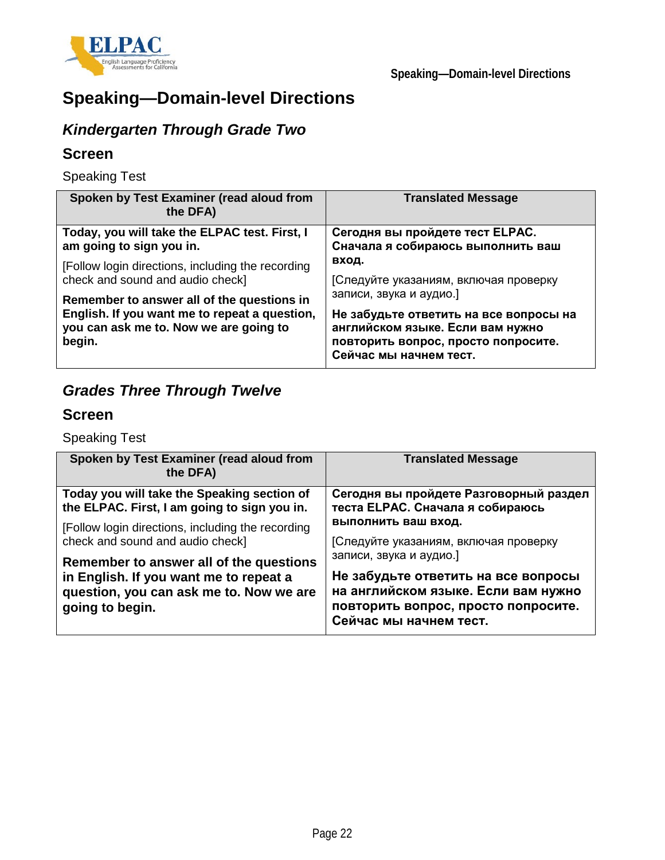

# **Speaking—Domain-level Directions**

# *Kindergarten Through Grade Two*

### **Screen**

Speaking Test

| Spoken by Test Examiner (read aloud from<br>the DFA)                                                                                            | <b>Translated Message</b>                                                                                                                                                                                                                                                                        |  |
|-------------------------------------------------------------------------------------------------------------------------------------------------|--------------------------------------------------------------------------------------------------------------------------------------------------------------------------------------------------------------------------------------------------------------------------------------------------|--|
| Today, you will take the ELPAC test. First, I<br>am going to sign you in.                                                                       | Сегодня вы пройдете тест ELPAC.<br>Сначала я собираюсь выполнить ваш<br>ВХОД.<br>[Следуйте указаниям, включая проверку<br>записи, звука и аудио.]<br>Не забудьте ответить на все вопросы на<br>английском языке. Если вам нужно<br>повторить вопрос, просто попросите.<br>Сейчас мы начнем тест. |  |
| [Follow login directions, including the recording<br>check and sound and audio check]                                                           |                                                                                                                                                                                                                                                                                                  |  |
| Remember to answer all of the questions in<br>English. If you want me to repeat a question,<br>you can ask me to. Now we are going to<br>begin. |                                                                                                                                                                                                                                                                                                  |  |

## *Grades Three Through Twelve*

### **Screen**

Speaking Test

| Spoken by Test Examiner (read aloud from<br>the DFA)                                                                                            | <b>Translated Message</b>                                                                                                                                                                                                              |  |
|-------------------------------------------------------------------------------------------------------------------------------------------------|----------------------------------------------------------------------------------------------------------------------------------------------------------------------------------------------------------------------------------------|--|
| Today you will take the Speaking section of<br>the ELPAC. First, I am going to sign you in.                                                     | Сегодня вы пройдете Разговорный раздел<br>теста ELPAC. Сначала я собираюсь                                                                                                                                                             |  |
| [Follow login directions, including the recording<br>check and sound and audio check]                                                           | выполнить ваш вход.<br>[Следуйте указаниям, включая проверку<br>записи, звука и аудио.]<br>Не забудьте ответить на все вопросы<br>на английском языке. Если вам нужно<br>повторить вопрос, просто попросите.<br>Сейчас мы начнем тест. |  |
| Remember to answer all of the questions<br>in English. If you want me to repeat a<br>question, you can ask me to. Now we are<br>going to begin. |                                                                                                                                                                                                                                        |  |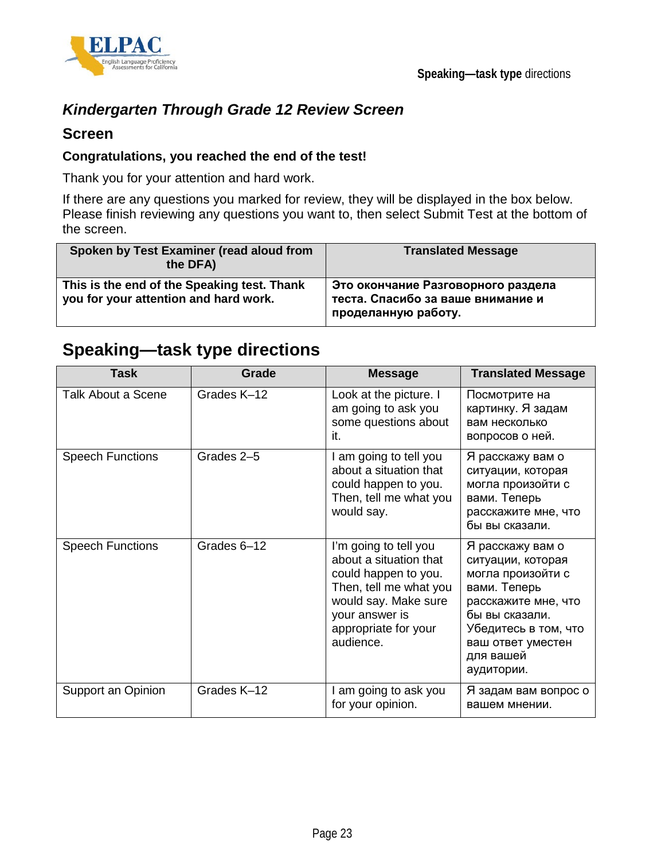



## *Kindergarten Through Grade 12 Review Screen*

### **Screen**

### **Congratulations, you reached the end of the test!**

Thank you for your attention and hard work.

If there are any questions you marked for review, they will be displayed in the box below. Please finish reviewing any questions you want to, then select Submit Test at the bottom of the screen.

| Spoken by Test Examiner (read aloud from<br>the DFA)                                 | <b>Translated Message</b>                                                                      |
|--------------------------------------------------------------------------------------|------------------------------------------------------------------------------------------------|
| This is the end of the Speaking test. Thank<br>you for your attention and hard work. | Это окончание Разговорного раздела<br>теста. Спасибо за ваше внимание и<br>проделанную работу. |

## **Speaking—task type directions**

| <b>Task</b>               | <b>Grade</b> | <b>Message</b>                                                                                                                                                                   | <b>Translated Message</b>                                                                                                                                                                   |
|---------------------------|--------------|----------------------------------------------------------------------------------------------------------------------------------------------------------------------------------|---------------------------------------------------------------------------------------------------------------------------------------------------------------------------------------------|
| <b>Talk About a Scene</b> | Grades K-12  | Look at the picture. I<br>am going to ask you<br>some questions about<br>it.                                                                                                     | Посмотрите на<br>картинку. Я задам<br>вам несколько<br>вопросов о ней.                                                                                                                      |
| <b>Speech Functions</b>   | Grades 2-5   | I am going to tell you<br>about a situation that<br>could happen to you.<br>Then, tell me what you<br>would say.                                                                 | Я расскажу вам о<br>ситуации, которая<br>могла произойти с<br>вами. Теперь<br>расскажите мне, что<br>бы вы сказали.                                                                         |
| <b>Speech Functions</b>   | Grades 6-12  | I'm going to tell you<br>about a situation that<br>could happen to you.<br>Then, tell me what you<br>would say. Make sure<br>your answer is<br>appropriate for your<br>audience. | Я расскажу вам о<br>ситуации, которая<br>могла произойти с<br>вами. Теперь<br>расскажите мне, что<br>бы вы сказали.<br>Убедитесь в том, что<br>ваш ответ уместен<br>для вашей<br>аудитории. |
| Support an Opinion        | Grades K-12  | I am going to ask you<br>for your opinion.                                                                                                                                       | Я задам вам вопрос о<br>вашем мнении.                                                                                                                                                       |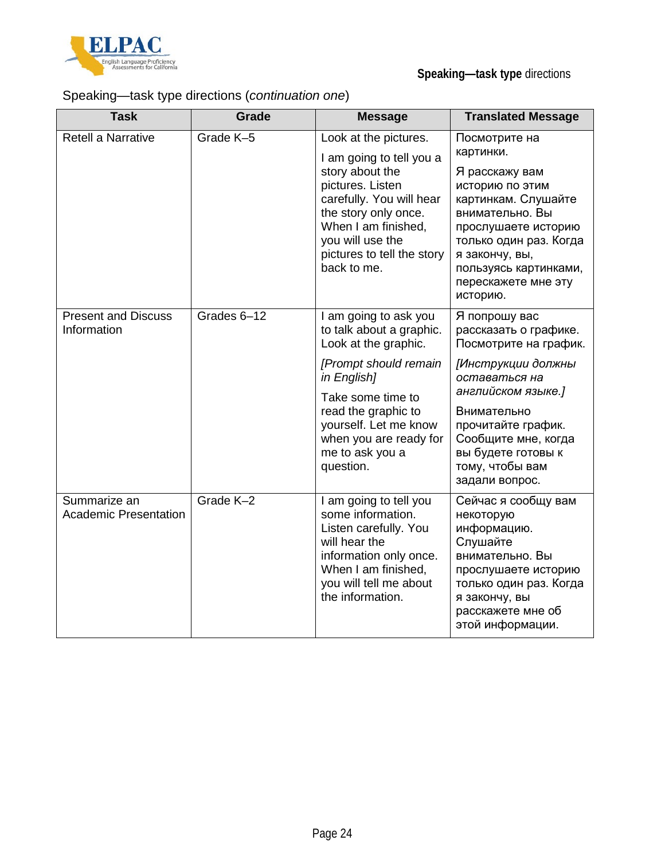

## Speaking—task type directions (*continuation one*)

| <b>Task</b>                                  | Grade       | <b>Message</b>                                                                                                                                                                                                                                   | <b>Translated Message</b>                                                                                                                                                                                                                           |
|----------------------------------------------|-------------|--------------------------------------------------------------------------------------------------------------------------------------------------------------------------------------------------------------------------------------------------|-----------------------------------------------------------------------------------------------------------------------------------------------------------------------------------------------------------------------------------------------------|
| Retell a Narrative                           | Grade K-5   | Look at the pictures.<br>I am going to tell you a<br>story about the<br>pictures. Listen<br>carefully. You will hear<br>the story only once.<br>When I am finished,<br>you will use the<br>pictures to tell the story<br>back to me.             | Посмотрите на<br>картинки.<br>Я расскажу вам<br>историю по этим<br>картинкам. Слушайте<br>внимательно. Вы<br>прослушаете историю<br>только один раз. Когда<br>я закончу, вы,<br>пользуясь картинками,<br>перескажете мне эту<br>историю.            |
| <b>Present and Discuss</b><br>Information    | Grades 6-12 | I am going to ask you<br>to talk about a graphic.<br>Look at the graphic.<br>[Prompt should remain<br>in English]<br>Take some time to<br>read the graphic to<br>yourself. Let me know<br>when you are ready for<br>me to ask you a<br>question. | Я попрошу вас<br>рассказать о графике.<br>Посмотрите на график.<br>[Инструкции должны<br>оставаться на<br>английском языке.]<br>Внимательно<br>прочитайте график.<br>Сообщите мне, когда<br>вы будете готовы к<br>тому, чтобы вам<br>задали вопрос. |
| Summarize an<br><b>Academic Presentation</b> | Grade K-2   | I am going to tell you<br>some information.<br>Listen carefully. You<br>will hear the<br>information only once.<br>When I am finished,<br>you will tell me about<br>the information.                                                             | Сейчас я сообщу вам<br>некоторую<br>информацию.<br>Слушайте<br>внимательно. Вы<br>прослушаете историю<br>только один раз. Когда<br>я закончу, вы<br>расскажете мне об<br>этой информации.                                                           |